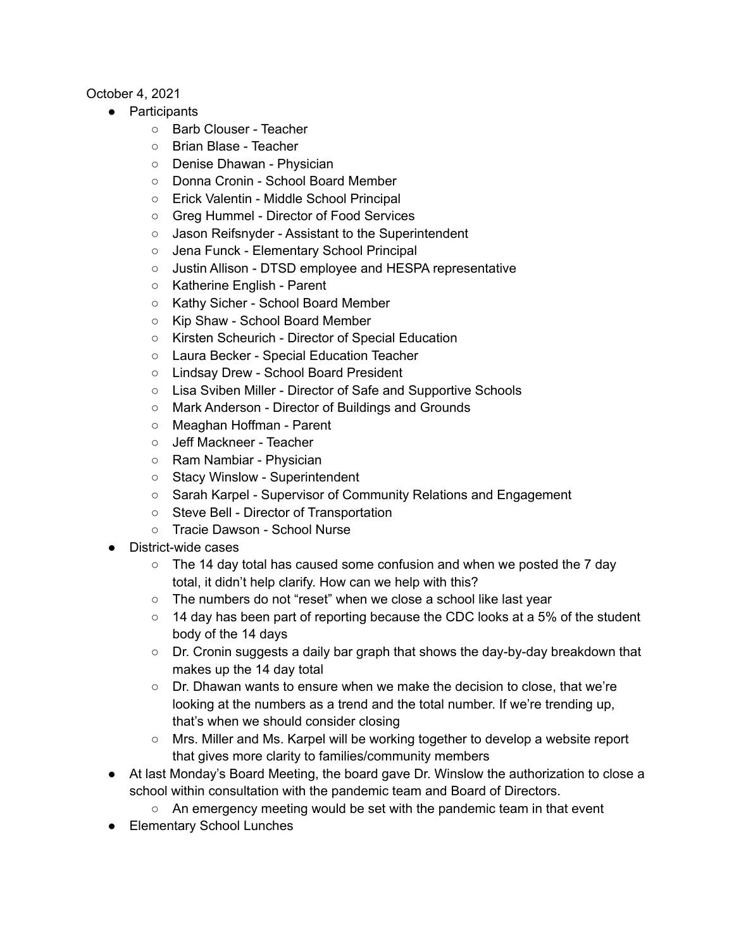## October 4, 2021

- Participants
	- Barb Clouser Teacher
	- Brian Blase Teacher
	- Denise Dhawan Physician
	- Donna Cronin School Board Member
	- Erick Valentin Middle School Principal
	- Greg Hummel Director of Food Services
	- Jason Reifsnyder Assistant to the Superintendent
	- Jena Funck Elementary School Principal
	- Justin Allison DTSD employee and HESPA representative
	- Katherine English Parent
	- Kathy Sicher School Board Member
	- Kip Shaw School Board Member
	- Kirsten Scheurich Director of Special Education
	- Laura Becker Special Education Teacher
	- Lindsay Drew School Board President
	- Lisa Sviben Miller Director of Safe and Supportive Schools
	- Mark Anderson Director of Buildings and Grounds
	- Meaghan Hoffman Parent
	- Jeff Mackneer Teacher
	- Ram Nambiar Physician
	- Stacy Winslow Superintendent
	- Sarah Karpel Supervisor of Community Relations and Engagement
	- Steve Bell Director of Transportation
	- Tracie Dawson School Nurse
- District-wide cases
	- $\circ$  The 14 day total has caused some confusion and when we posted the 7 day total, it didn't help clarify. How can we help with this?
	- The numbers do not "reset" when we close a school like last year
	- $\circ$  14 day has been part of reporting because the CDC looks at a 5% of the student body of the 14 days
	- Dr. Cronin suggests a daily bar graph that shows the day-by-day breakdown that makes up the 14 day total
	- Dr. Dhawan wants to ensure when we make the decision to close, that we're looking at the numbers as a trend and the total number. If we're trending up, that's when we should consider closing
	- $\circ$  Mrs. Miller and Ms. Karpel will be working together to develop a website report that gives more clarity to families/community members
- At last Monday's Board Meeting, the board gave Dr. Winslow the authorization to close a school within consultation with the pandemic team and Board of Directors.
	- An emergency meeting would be set with the pandemic team in that event
- Elementary School Lunches